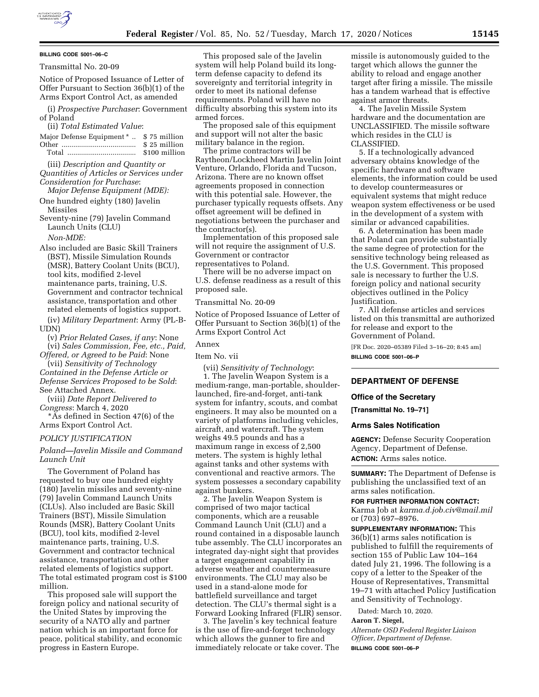

## **BILLING CODE 5001–06–C**

## Transmittal No. 20-09

Notice of Proposed Issuance of Letter of Offer Pursuant to Section 36(b)(1) of the Arms Export Control Act, as amended

(i) *Prospective Purchaser*: Government of Poland

# (ii) *Total Estimated Value*:

Major Defense Equipment \* .. \$ 75 million Other ...................................... \$ 25 million Total ................................... \$100 million

(iii) *Description and Quantity or Quantities of Articles or Services under* 

- *Consideration for Purchase*: *Major Defense Equipment (MDE):*
- One hundred eighty (180) Javelin Missiles
- Seventy-nine (79) Javelin Command Launch Units (CLU) *Non-MDE:*

Also included are Basic Skill Trainers (BST), Missile Simulation Rounds (MSR), Battery Coolant Units (BCU), tool kits, modified 2-level maintenance parts, training, U.S. Government and contractor technical assistance, transportation and other related elements of logistics support. (iv) *Military Department*: Army (PL-B-

UDN)

(v) *Prior Related Cases, if any*: None (vi) *Sales Commission, Fee, etc., Paid,* 

*Offered, or Agreed to be Paid*: None (vii) *Sensitivity of Technology* 

*Contained in the Defense Article or Defense Services Proposed to be Sold*: See Attached Annex.

(viii) *Date Report Delivered to Congress*: March 4, 2020

\*As defined in Section 47(6) of the Arms Export Control Act.

# *POLICY JUSTIFICATION*

*Poland—Javelin Missile and Command Launch Unit* 

The Government of Poland has requested to buy one hundred eighty (180) Javelin missiles and seventy-nine (79) Javelin Command Launch Units (CLUs). Also included are Basic Skill Trainers (BST), Missile Simulation Rounds (MSR), Battery Coolant Units (BCU), tool kits, modified 2-level maintenance parts, training, U.S. Government and contractor technical assistance, transportation and other related elements of logistics support. The total estimated program cost is \$100 million.

This proposed sale will support the foreign policy and national security of the United States by improving the security of a NATO ally and partner nation which is an important force for peace, political stability, and economic progress in Eastern Europe.

This proposed sale of the Javelin system will help Poland build its longterm defense capacity to defend its sovereignty and territorial integrity in order to meet its national defense requirements. Poland will have no difficulty absorbing this system into its armed forces.

The proposed sale of this equipment and support will not alter the basic military balance in the region.

The prime contractors will be Raytheon/Lockheed Martin Javelin Joint Venture, Orlando, Florida and Tucson, Arizona. There are no known offset agreements proposed in connection with this potential sale. However, the purchaser typically requests offsets. Any offset agreement will be defined in negotiations between the purchaser and the contractor(s).

Implementation of this proposed sale will not require the assignment of U.S. Government or contractor representatives to Poland.

There will be no adverse impact on U.S. defense readiness as a result of this proposed sale.

## Transmittal No. 20-09

Notice of Proposed Issuance of Letter of Offer Pursuant to Section 36(b)(1) of the Arms Export Control Act

#### Annex

# Item No. vii

(vii) *Sensitivity of Technology*:

1. The Javelin Weapon System is a medium-range, man-portable, shoulderlaunched, fire-and-forget, anti-tank system for infantry, scouts, and combat engineers. It may also be mounted on a variety of platforms including vehicles, aircraft, and watercraft. The system weighs 49.5 pounds and has a maximum range in excess of 2,500 meters. The system is highly lethal against tanks and other systems with conventional and reactive armors. The system possesses a secondary capability against bunkers.

2. The Javelin Weapon System is comprised of two major tactical components, which are a reusable Command Launch Unit (CLU) and a round contained in a disposable launch tube assembly. The CLU incorporates an integrated day-night sight that provides a target engagement capability in adverse weather and countermeasure environments. The CLU may also be used in a stand-alone mode for battlefield surveillance and target detection. The CLU's thermal sight is a Forward Looking Infrared (FLIR) sensor.

3. The Javelin's key technical feature is the use of fire-and-forget technology which allows the gunner to fire and immediately relocate or take cover. The missile is autonomously guided to the target which allows the gunner the ability to reload and engage another target after firing a missile. The missile has a tandem warhead that is effective against armor threats.

4. The Javelin Missile System hardware and the documentation are UNCLASSIFIED. The missile software which resides in the CLU is CLASSIFIED.

5. If a technologically advanced adversary obtains knowledge of the specific hardware and software elements, the information could be used to develop countermeasures or equivalent systems that might reduce weapon system effectiveness or be used in the development of a system with similar or advanced capabilities.

6. A determination has been made that Poland can provide substantially the same degree of protection for the sensitive technology being released as the U.S. Government. This proposed sale is necessary to further the U.S. foreign policy and national security objectives outlined in the Policy Justification.

7. All defense articles and services listed on this transmittal are authorized for release and export to the Government of Poland.

[FR Doc. 2020–05389 Filed 3–16–20; 8:45 am] **BILLING CODE 5001–06–P** 

# **DEPARTMENT OF DEFENSE**

## **Office of the Secretary**

**[Transmittal No. 19–71]** 

# **Arms Sales Notification**

**AGENCY:** Defense Security Cooperation Agency, Department of Defense. **ACTION:** Arms sales notice.

**SUMMARY:** The Department of Defense is publishing the unclassified text of an arms sales notification.

### **FOR FURTHER INFORMATION CONTACT:**

Karma Job at *[karma.d.job.civ@mail.mil](mailto:karma.d.job.civ@mail.mil)*  or (703) 697–8976.

**SUPPLEMENTARY INFORMATION:** This 36(b)(1) arms sales notification is published to fulfill the requirements of section 155 of Public Law 104–164 dated July 21, 1996. The following is a copy of a letter to the Speaker of the House of Representatives, Transmittal 19–71 with attached Policy Justification and Sensitivity of Technology.

Dated: March 10, 2020.

### **Aaron T. Siegel,**

*Alternate OSD Federal Register Liaison Officer, Department of Defense.*  **BILLING CODE 5001–06–P**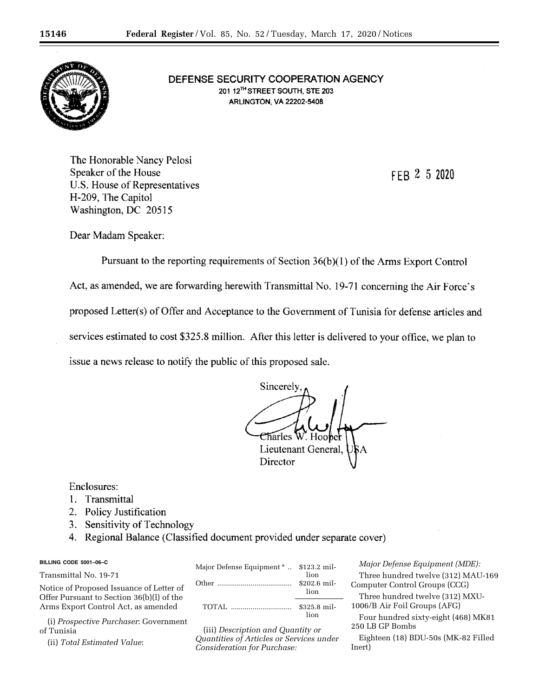

DEFENSE SECURITY COOPERATION AGENCY 201 12TH STREET SOUTH, STE 203 **ARLINGTON, VA 22202-5408** 

The Honorable Nancy Pelosi Speaker of the House U.S. House of Representatives H-209, The Capitol Washington, DC 20515

FFR 2 5 2020

Dear Madam Speaker:

Pursuant to the reporting requirements of Section 36(b)(1) of the Arms Export Control Act, as amended, we are forwarding herewith Transmittal No. 19-71 concerning the Air Force's proposed Letter(s) of Offer and Acceptance to the Government of Tunisia for defense articles and services estimated to cost \$325.8 million. After this letter is delivered to your office, we plan to issue a news release to notify the public of this proposed sale.

Sincerely Charles W. Hoobel Lieutenant General. Director

Enclosures:

- 1. Transmittal
- 2. Policy Justification
- 3. Sensitivity of Technology
- 4. Regional Balance (Classified document provided under separate cover)

# **BILLING CODE 5001–06–C**

Transmittal No. 19-71

Notice of Proposed Issuance of Letter of Offer Pursuant to Section 36(b)(l) of the Arms Export Control Act, as amended

(i) *Prospective Purchaser*: Government of Tunisia

(ii) *Total Estimated Value*:

| Major Defense Equipment *  \$123.2 mil- | lion<br>\$202.6 mil-<br>lion |
|-----------------------------------------|------------------------------|
| <b>TOTAL</b>                            | \$325.8 mil-<br>lion         |

(iii) *Description and Quantity or Quantities of Articles or Services under Consideration for Purchase:* 

*Major Defense Equipment (MDE):*  Three hundred twelve (312) MAU-169 Computer Control Groups (CCG)

Three hundred twelve (312) MXU-1006/B Air Foil Groups (AFG)

Four hundred sixty-eight (468) MK81 250 LB GP Bombs

Eighteen (18) BDU-50s (MK-82 Filled Inert)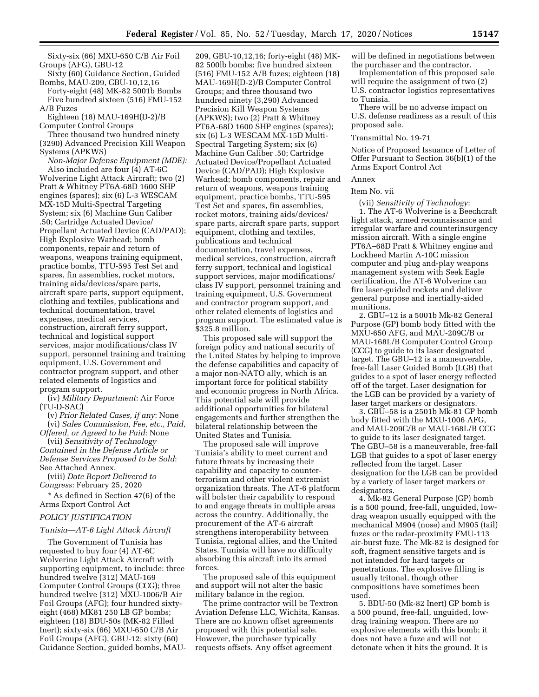Sixty-six (66) MXU-650 C/B Air Foil Groups (AFG), GBU-12

Sixty (60) Guidance Section, Guided Bombs, MAU-209, GBU-10,12,16 Forty-eight (48) MK-82 5001b Bombs Five hundred sixteen (516) FMU-152

A/B Fuzes Eighteen (18) MAU-169H(D-2)/B

Computer Control Groups Three thousand two hundred ninety (3290) Advanced Precision Kill Weapon Systems (APKWS)

*Non-Major Defense Equipment (MDE):*  Also included are four (4) AT-6C Wolverine Light Attack Aircraft; two (2) Pratt & Whitney PT6A-68D 1600 SHP engines (spares); six (6) L-3 WESCAM MX-15D Multi-Spectral Targeting System; six (6) Machine Gun Caliber .50; Cartridge Actuated Device/ Propellant Actuated Device (CAD/PAD); High Explosive Warhead; bomb components, repair and return of weapons, weapons training equipment, practice bombs, TTU-595 Test Set and spares, fin assemblies, rocket motors, training aids/devices/spare parts, aircraft spare parts, support equipment, clothing and textiles, publications and technical documentation, travel expenses, medical services, construction, aircraft ferry support, technical and logistical support services, major modifications/class IV support, personnel training and training equipment, U.S. Government and contractor program support, and other related elements of logistics and program support.

(iv) *Military Department*: Air Force (TU-D-SAC)

(v) *Prior Related Cases, if any*: None (vi) *Sales Commission, Fee, etc., Paid,* 

*Offered, or Agreed to be Paid*: None (vii) *Sensitivity of Technology Contained in the Defense Article or Defense Services Proposed to be Sold*:

See Attached Annex. (viii) *Date Report Delivered to Congress*: February 25, 2020

\* As defined in Section 47(6) of the Arms Export Control Act

# *POLICY JUSTIFICATION*

### *Tunisia—AT-6 Light Attack Aircraft*

The Government of Tunisia has requested to buy four (4) AT-6C Wolverine Light Attack Aircraft with supporting equipment, to include: three hundred twelve (312) MAU-169 Computer Control Groups (CCG); three hundred twelve (312) MXU-1006/B Air Foil Groups (AFG); four hundred sixtyeight (468) MK81 250 LB GP bombs; eighteen (18) BDU-50s (MK-82 Filled Inert); sixty-six (66) MXU-650 C/B Air Foil Groups (AFG), GBU-12; sixty (60) Guidance Section, guided bombs, MAU-

209, GBU-10,12,16; forty-eight (48) MK-82 500lb bombs; five hundred sixteen (516) FMU-152 A/B fuzes; eighteen (18) MAU-169H(D-2)/B Computer Control Groups; and three thousand two hundred ninety (3,290) Advanced Precision Kill Weapon Systems (APKWS); two (2) Pratt & Whitney PT6A-68D 1600 SHP engines (spares); six (6) L-3 WESCAM MX-15D Multi-Spectral Targeting System; six (6) Machine Gun Caliber .50; Cartridge Actuated Device/Propellant Actuated Device (CAD/PAD); High Explosive Warhead; bomb components, repair and return of weapons, weapons training equipment, practice bombs, TTU-595 Test Set and spares, fin assemblies, rocket motors, training aids/devices/ spare parts, aircraft spare parts, support equipment, clothing and textiles, publications and technical documentation, travel expenses, medical services, construction, aircraft ferry support, technical and logistical support services, major modifications/ class IV support, personnel training and training equipment, U.S. Government and contractor program support, and other related elements of logistics and program support. The estimated value is \$325.8 million.

This proposed sale will support the foreign policy and national security of the United States by helping to improve the defense capabilities and capacity of a major non-NATO ally, which is an important force for political stability and economic progress in North Africa. This potential sale will provide additional opportunities for bilateral engagements and further strengthen the bilateral relationship between the United States and Tunisia.

The proposed sale will improve Tunisia's ability to meet current and future threats by increasing their capability and capacity to counterterrorism and other violent extremist organization threats. The AT-6 platform will bolster their capability to respond to and engage threats in multiple areas across the country. Additionally, the procurement of the AT-6 aircraft strengthens interoperability between Tunisia, regional allies, and the United States. Tunisia will have no difficulty absorbing this aircraft into its armed forces.

The proposed sale of this equipment and support will not alter the basic military balance in the region.

The prime contractor will be Textron Aviation Defense LLC, Wichita, Kansas. There are no known offset agreements proposed with this potential sale. However, the purchaser typically requests offsets. Any offset agreement

will be defined in negotiations between the purchaser and the contractor.

Implementation of this proposed sale will require the assignment of two (2) U.S. contractor logistics representatives to Tunisia.

There will be no adverse impact on U.S. defense readiness as a result of this proposed sale.

#### Transmittal No. 19-71

Notice of Proposed Issuance of Letter of Offer Pursuant to Section 36(b)(1) of the Arms Export Control Act

## Annex

## Item No. vii

(vii) *Sensitivity of Technology*: 1. The AT-6 Wolverine is a Beechcraft light attack, armed reconnaissance and irregular warfare and counterinsurgency mission aircraft. With a single engine PT6A–68D Pratt & Whitney engine and Lockheed Martin A-10C mission computer and plug and-play weapons management system with Seek Eagle certification, the AT-6 Wolverine can fire laser-guided rockets and deliver general purpose and inertially-aided munitions.

2. GBU–12 is a 5001b Mk-82 General Purpose (GP) bomb body fitted with the MXU-650 AFG, and MAU-209C/B or MAU-168L/B Computer Control Group (CCG) to guide to its laser designated target. The GBU–12 is a maneuverable, free-fall Laser Guided Bomb (LGB) that guides to a spot of laser energy reflected off of the target. Laser designation for the LGB can be provided by a variety of laser target markers or designators.

3. GBU–58 is a 2501b Mk-81 GP bomb body fitted with the MXU-1006 AFG, and MAU-209C/B or MAU-168L/B CCG to guide to its laser designated target. The GBU–58 is a maneuverable, free-fall LGB that guides to a spot of laser energy reflected from the target. Laser designation for the LGB can be provided by a variety of laser target markers or designators.

4. Mk-82 General Purpose (GP) bomb is a 500 pound, free-fall, unguided, lowdrag weapon usually equipped with the mechanical M904 (nose) and M905 (tail) fuzes or the radar-proximity FMU-113 air-burst fuze. The Mk-82 is designed for soft, fragment sensitive targets and is not intended for hard targets or penetrations. The explosive filling is usually tritonal, though other compositions have sometimes been used.

5. BDU-50 (Mk-82 Inert) GP bomb is a 500 pound, free-fall, unguided, lowdrag training weapon. There are no explosive elements with this bomb; it does not have a fuze and will not detonate when it hits the ground. It is